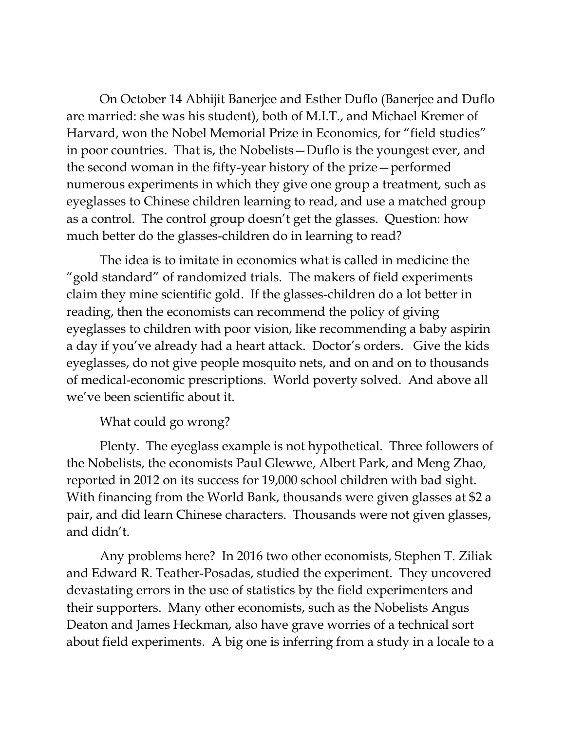On October 14 Abhijit Banerjee and Esther Duflo (Banerjee and Duflo are married: she was his student), both of M.I.T., and Michael Kremer of Harvard, won the Nobel Memorial Prize in Economics, for "field studies" in poor countries. That is, the Nobelists—Duflo is the youngest ever, and the second woman in the fifty-year history of the prize—performed numerous experiments in which they give one group a treatment, such as eyeglasses to Chinese children learning to read, and use a matched group as a control. The control group doesn't get the glasses. Question: how much better do the glasses-children do in learning to read?

The idea is to imitate in economics what is called in medicine the "gold standard" of randomized trials. The makers of field experiments claim they mine scientific gold. If the glasses-children do a lot better in reading, then the economists can recommend the policy of giving eyeglasses to children with poor vision, like recommending a baby aspirin a day if you've already had a heart attack. Doctor's orders. Give the kids eyeglasses, do not give people mosquito nets, and on and on to thousands of medical-economic prescriptions. World poverty solved. And above all we've been scientific about it.

What could go wrong?

Plenty. The eyeglass example is not hypothetical. Three followers of the Nobelists, the economists Paul Glewwe, Albert Park, and Meng Zhao, reported in 2012 on its success for 19,000 school children with bad sight. With financing from the World Bank, thousands were given glasses at \$2 a pair, and did learn Chinese characters. Thousands were not given glasses, and didn't.

Any problems here? In 2016 two other economists, Stephen T. Ziliak and Edward R. Teather-Posadas, studied the experiment. They uncovered devastating errors in the use of statistics by the field experimenters and their supporters. Many other economists, such as the Nobelists Angus Deaton and James Heckman, also have grave worries of a technical sort about field experiments. A big one is inferring from a study in a locale to a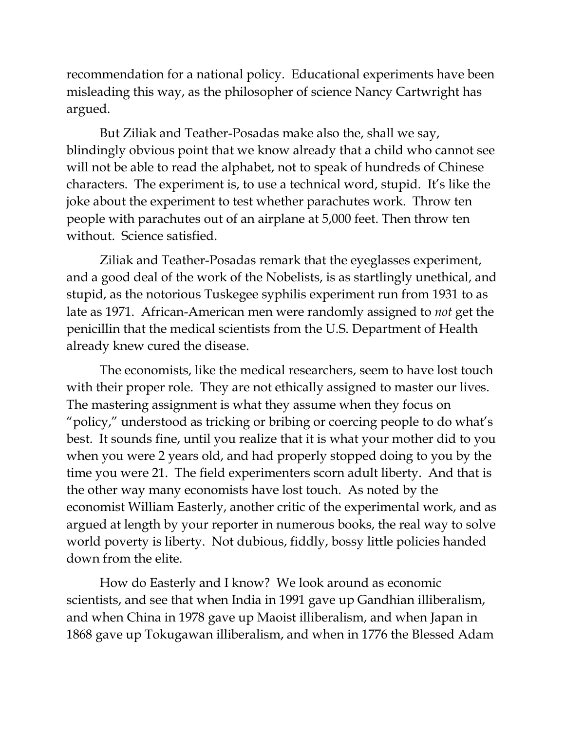recommendation for a national policy. Educational experiments have been misleading this way, as the philosopher of science Nancy Cartwright has argued.

But Ziliak and Teather-Posadas make also the, shall we say, blindingly obvious point that we know already that a child who cannot see will not be able to read the alphabet, not to speak of hundreds of Chinese characters. The experiment is, to use a technical word, stupid. It's like the joke about the experiment to test whether parachutes work. Throw ten people with parachutes out of an airplane at 5,000 feet. Then throw ten without. Science satisfied.

Ziliak and Teather-Posadas remark that the eyeglasses experiment, and a good deal of the work of the Nobelists, is as startlingly unethical, and stupid, as the notorious Tuskegee syphilis experiment run from 1931 to as late as 1971. African-American men were randomly assigned to *not* get the penicillin that the medical scientists from the U.S. Department of Health already knew cured the disease.

The economists, like the medical researchers, seem to have lost touch with their proper role. They are not ethically assigned to master our lives. The mastering assignment is what they assume when they focus on "policy," understood as tricking or bribing or coercing people to do what's best. It sounds fine, until you realize that it is what your mother did to you when you were 2 years old, and had properly stopped doing to you by the time you were 21. The field experimenters scorn adult liberty. And that is the other way many economists have lost touch. As noted by the economist William Easterly, another critic of the experimental work, and as argued at length by your reporter in numerous books, the real way to solve world poverty is liberty. Not dubious, fiddly, bossy little policies handed down from the elite.

How do Easterly and I know? We look around as economic scientists, and see that when India in 1991 gave up Gandhian illiberalism, and when China in 1978 gave up Maoist illiberalism, and when Japan in 1868 gave up Tokugawan illiberalism, and when in 1776 the Blessed Adam